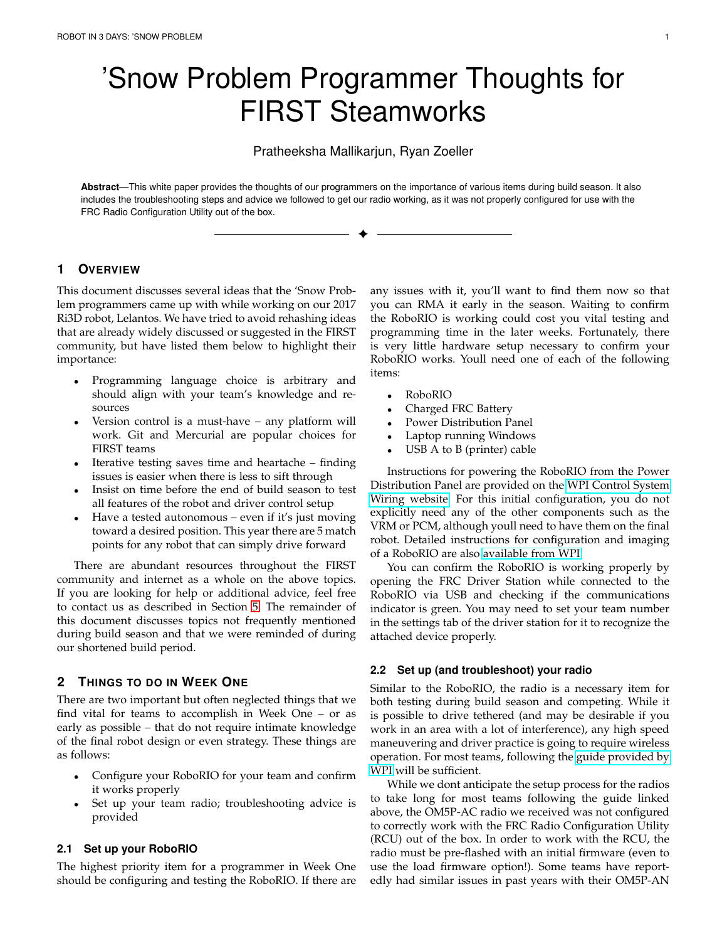# 'Snow Problem Programmer Thoughts for FIRST Steamworks

Pratheeksha Mallikarjun, Ryan Zoeller

**Abstract**—This white paper provides the thoughts of our programmers on the importance of various items during build season. It also includes the troubleshooting steps and advice we followed to get our radio working, as it was not properly configured for use with the FRC Radio Configuration Utility out of the box.

✦

## **1 OVERVIEW**

This document discusses several ideas that the 'Snow Problem programmers came up with while working on our 2017 Ri3D robot, Lelantos. We have tried to avoid rehashing ideas that are already widely discussed or suggested in the FIRST community, but have listed them below to highlight their importance:

- Programming language choice is arbitrary and should align with your team's knowledge and resources
- Version control is a must-have any platform will work. Git and Mercurial are popular choices for FIRST teams
- Iterative testing saves time and heartache finding issues is easier when there is less to sift through
- Insist on time before the end of build season to test all features of the robot and driver control setup
- Have a tested autonomous even if it's just moving toward a desired position. This year there are 5 match points for any robot that can simply drive forward

There are abundant resources throughout the FIRST community and internet as a whole on the above topics. If you are looking for help or additional advice, feel free to contact us as described in Section [5.](#page-1-0) The remainder of this document discusses topics not frequently mentioned during build season and that we were reminded of during our shortened build period.

## **2 THINGS TO DO IN WEEK ONE**

There are two important but often neglected things that we find vital for teams to accomplish in Week One – or as early as possible – that do not require intimate knowledge of the final robot design or even strategy. These things are as follows:

- Configure your RoboRIO for your team and confirm it works properly
- Set up your team radio; troubleshooting advice is provided

#### **2.1 Set up your RoboRIO**

The highest priority item for a programmer in Week One should be configuring and testing the RoboRIO. If there are any issues with it, you'll want to find them now so that you can RMA it early in the season. Waiting to confirm the RoboRIO is working could cost you vital testing and programming time in the later weeks. Fortunately, there is very little hardware setup necessary to confirm your RoboRIO works. Youll need one of each of the following items:

- RoboRIO
- Charged FRC Battery
- Power Distribution Panel
- Laptop running Windows
- USB A to B (printer) cable

Instructions for powering the RoboRIO from the Power Distribution Panel are provided on the [WPI Control System](http://wpilib.screenstepslive.com/s/4485/m/13503/l/599673-wiring-the-2017-frc-control-system) [Wiring website.](http://wpilib.screenstepslive.com/s/4485/m/13503/l/599673-wiring-the-2017-frc-control-system) For this initial configuration, you do not explicitly need any of the other components such as the VRM or PCM, although youll need to have them on the final robot. Detailed instructions for configuration and imaging of a RoboRIO are also [available from WPI.](http://wpilib.screenstepslive.com/s/4485/m/13503/l/144984-imaging-your-roborio)

You can confirm the RoboRIO is working properly by opening the FRC Driver Station while connected to the RoboRIO via USB and checking if the communications indicator is green. You may need to set your team number in the settings tab of the driver station for it to recognize the attached device properly.

#### **2.2 Set up (and troubleshoot) your radio**

Similar to the RoboRIO, the radio is a necessary item for both testing during build season and competing. While it is possible to drive tethered (and may be desirable if you work in an area with a lot of interference), any high speed maneuvering and driver practice is going to require wireless operation. For most teams, following the [guide provided by](http://wpilib.screenstepslive.com/s/4485/m/13503/l/144986-programming-your-radio-for-home-use) [WPI](http://wpilib.screenstepslive.com/s/4485/m/13503/l/144986-programming-your-radio-for-home-use) will be sufficient.

While we dont anticipate the setup process for the radios to take long for most teams following the guide linked above, the OM5P-AC radio we received was not configured to correctly work with the FRC Radio Configuration Utility (RCU) out of the box. In order to work with the RCU, the radio must be pre-flashed with an initial firmware (even to use the load firmware option!). Some teams have reportedly had similar issues in past years with their OM5P-AN